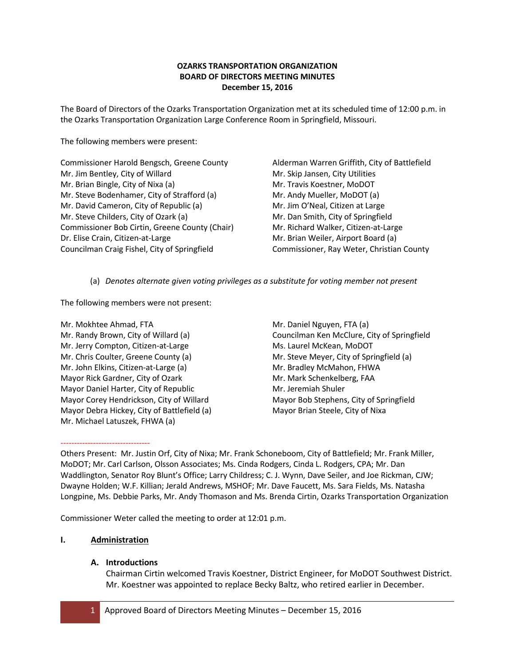# **OZARKS TRANSPORTATION ORGANIZATION BOARD OF DIRECTORS MEETING MINUTES December 15, 2016**

The Board of Directors of the Ozarks Transportation Organization met at its scheduled time of 12:00 p.m. in the Ozarks Transportation Organization Large Conference Room in Springfield, Missouri.

The following members were present:

Commissioner Harold Bengsch, Greene County Mr. Jim Bentley, City of Willard Mr. Brian Bingle, City of Nixa (a) Mr. Steve Bodenhamer, City of Strafford (a) Mr. David Cameron, City of Republic (a) Mr. Steve Childers, City of Ozark (a) Commissioner Bob Cirtin, Greene County (Chair) Dr. Elise Crain, Citizen-at-Large Councilman Craig Fishel, City of Springfield

Alderman Warren Griffith, City of Battlefield Mr. Skip Jansen, City Utilities Mr. Travis Koestner, MoDOT Mr. Andy Mueller, MoDOT (a) Mr. Jim O'Neal, Citizen at Large Mr. Dan Smith, City of Springfield Mr. Richard Walker, Citizen-at-Large Mr. Brian Weiler, Airport Board (a) Commissioner, Ray Weter, Christian County

(a) *Denotes alternate given voting privileges as a substitute for voting member not present*

The following members were not present:

Mr. Mokhtee Ahmad, FTA Mr. Randy Brown, City of Willard (a) Mr. Jerry Compton, Citizen-at-Large Mr. Chris Coulter, Greene County (a) Mr. John Elkins, Citizen-at-Large (a) Mayor Rick Gardner, City of Ozark Mayor Daniel Harter, City of Republic Mayor Corey Hendrickson, City of Willard Mayor Debra Hickey, City of Battlefield (a) Mr. Michael Latuszek, FHWA (a)

Others Present: Mr. Justin Orf, City of Nixa; Mr. Frank Schoneboom, City of Battlefield; Mr. Frank Miller, MoDOT; Mr. Carl Carlson, Olsson Associates; Ms. Cinda Rodgers, Cinda L. Rodgers, CPA; Mr. Dan Waddlington, Senator Roy Blunt's Office; Larry Childress; C. J. Wynn, Dave Seiler, and Joe Rickman, CJW; Dwayne Holden; W.F. Killian; Jerald Andrews, MSHOF; Mr. Dave Faucett, Ms. Sara Fields, Ms. Natasha Longpine, Ms. Debbie Parks, Mr. Andy Thomason and Ms. Brenda Cirtin, Ozarks Transportation Organization

Commissioner Weter called the meeting to order at 12:01 p.m.

## **I. Administration**

---------------------------------

## **A. Introductions**

Chairman Cirtin welcomed Travis Koestner, District Engineer, for MoDOT Southwest District. Mr. Koestner was appointed to replace Becky Baltz, who retired earlier in December.

Mr. Daniel Nguyen, FTA (a) Councilman Ken McClure, City of Springfield Ms. Laurel McKean, MoDOT Mr. Steve Meyer, City of Springfield (a) Mr. Bradley McMahon, FHWA Mr. Mark Schenkelberg, FAA Mr. Jeremiah Shuler Mayor Bob Stephens, City of Springfield Mayor Brian Steele, City of Nixa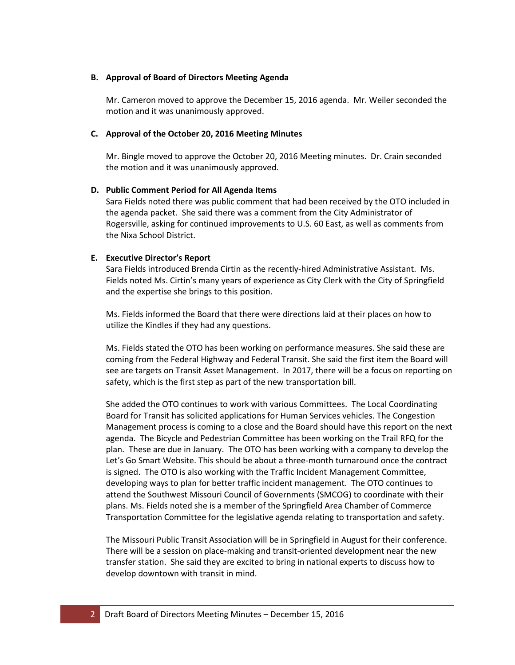## **B. Approval of Board of Directors Meeting Agenda**

Mr. Cameron moved to approve the December 15, 2016 agenda. Mr. Weiler seconded the motion and it was unanimously approved.

## **C. Approval of the October 20, 2016 Meeting Minutes**

Mr. Bingle moved to approve the October 20, 2016 Meeting minutes. Dr. Crain seconded the motion and it was unanimously approved.

## **D. Public Comment Period for All Agenda Items**

Sara Fields noted there was public comment that had been received by the OTO included in the agenda packet. She said there was a comment from the City Administrator of Rogersville, asking for continued improvements to U.S. 60 East, as well as comments from the Nixa School District.

## **E. Executive Director's Report**

Sara Fields introduced Brenda Cirtin as the recently-hired Administrative Assistant. Ms. Fields noted Ms. Cirtin's many years of experience as City Clerk with the City of Springfield and the expertise she brings to this position.

Ms. Fields informed the Board that there were directions laid at their places on how to utilize the Kindles if they had any questions.

Ms. Fields stated the OTO has been working on performance measures. She said these are coming from the Federal Highway and Federal Transit. She said the first item the Board will see are targets on Transit Asset Management. In 2017, there will be a focus on reporting on safety, which is the first step as part of the new transportation bill.

She added the OTO continues to work with various Committees. The Local Coordinating Board for Transit has solicited applications for Human Services vehicles. The Congestion Management process is coming to a close and the Board should have this report on the next agenda. The Bicycle and Pedestrian Committee has been working on the Trail RFQ for the plan. These are due in January. The OTO has been working with a company to develop the Let's Go Smart Website. This should be about a three-month turnaround once the contract is signed. The OTO is also working with the Traffic Incident Management Committee, developing ways to plan for better traffic incident management. The OTO continues to attend the Southwest Missouri Council of Governments (SMCOG) to coordinate with their plans. Ms. Fields noted she is a member of the Springfield Area Chamber of Commerce Transportation Committee for the legislative agenda relating to transportation and safety.

The Missouri Public Transit Association will be in Springfield in August for their conference. There will be a session on place-making and transit-oriented development near the new transfer station. She said they are excited to bring in national experts to discuss how to develop downtown with transit in mind.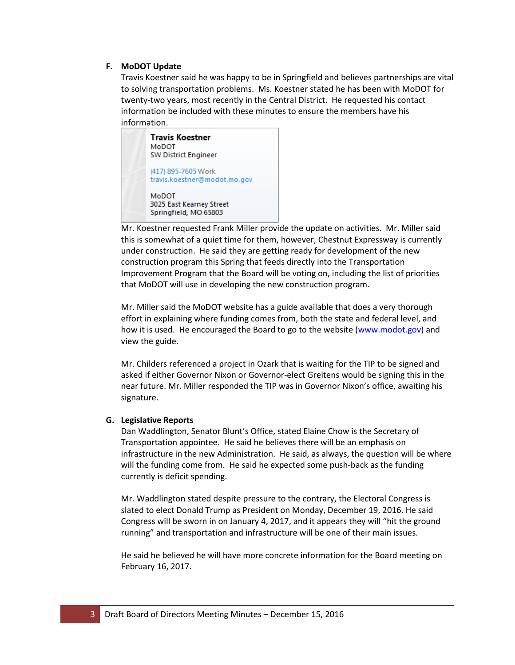## **F. MoDOT Update**

Travis Koestner said he was happy to be in Springfield and believes partnerships are vital to solving transportation problems. Ms. Koestner stated he has been with MoDOT for twenty-two years, most recently in the Central District. He requested his contact information be included with these minutes to ensure the members have his information.



Mr. Koestner requested Frank Miller provide the update on activities. Mr. Miller said this is somewhat of a quiet time for them, however, Chestnut Expressway is currently under construction. He said they are getting ready for development of the new construction program this Spring that feeds directly into the Transportation Improvement Program that the Board will be voting on, including the list of priorities that MoDOT will use in developing the new construction program.

Mr. Miller said the MoDOT website has a guide available that does a very thorough effort in explaining where funding comes from, both the state and federal level, and how it is used. He encouraged the Board to go to the website [\(www.modot.gov\)](http://www.modot.gov/) and view the guide.

Mr. Childers referenced a project in Ozark that is waiting for the TIP to be signed and asked if either Governor Nixon or Governor-elect Greitens would be signing this in the near future. Mr. Miller responded the TIP was in Governor Nixon's office, awaiting his signature.

## **G. Legislative Reports**

Dan Waddlington, Senator Blunt's Office, stated Elaine Chow is the Secretary of Transportation appointee. He said he believes there will be an emphasis on infrastructure in the new Administration. He said, as always, the question will be where will the funding come from. He said he expected some push-back as the funding currently is deficit spending.

Mr. Waddlington stated despite pressure to the contrary, the Electoral Congress is slated to elect Donald Trump as President on Monday, December 19, 2016. He said Congress will be sworn in on January 4, 2017, and it appears they will "hit the ground running" and transportation and infrastructure will be one of their main issues.

He said he believed he will have more concrete information for the Board meeting on February 16, 2017.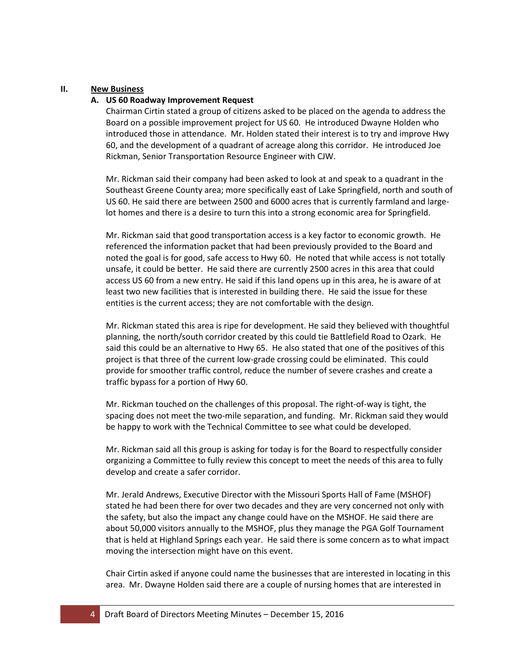## **II. New Business**

## **A. US 60 Roadway Improvement Request**

Chairman Cirtin stated a group of citizens asked to be placed on the agenda to address the Board on a possible improvement project for US 60. He introduced Dwayne Holden who introduced those in attendance. Mr. Holden stated their interest is to try and improve Hwy 60, and the development of a quadrant of acreage along this corridor. He introduced Joe Rickman, Senior Transportation Resource Engineer with CJW.

Mr. Rickman said their company had been asked to look at and speak to a quadrant in the Southeast Greene County area; more specifically east of Lake Springfield, north and south of US 60. He said there are between 2500 and 6000 acres that is currently farmland and largelot homes and there is a desire to turn this into a strong economic area for Springfield.

Mr. Rickman said that good transportation access is a key factor to economic growth. He referenced the information packet that had been previously provided to the Board and noted the goal is for good, safe access to Hwy 60. He noted that while access is not totally unsafe, it could be better. He said there are currently 2500 acres in this area that could access US 60 from a new entry. He said if this land opens up in this area, he is aware of at least two new facilities that is interested in building there. He said the issue for these entities is the current access; they are not comfortable with the design.

Mr. Rickman stated this area is ripe for development. He said they believed with thoughtful planning, the north/south corridor created by this could tie Battlefield Road to Ozark. He said this could be an alternative to Hwy 65. He also stated that one of the positives of this project is that three of the current low-grade crossing could be eliminated. This could provide for smoother traffic control, reduce the number of severe crashes and create a traffic bypass for a portion of Hwy 60.

Mr. Rickman touched on the challenges of this proposal. The right-of-way is tight, the spacing does not meet the two-mile separation, and funding. Mr. Rickman said they would be happy to work with the Technical Committee to see what could be developed.

Mr. Rickman said all this group is asking for today is for the Board to respectfully consider organizing a Committee to fully review this concept to meet the needs of this area to fully develop and create a safer corridor.

Mr. Jerald Andrews, Executive Director with the Missouri Sports Hall of Fame (MSHOF) stated he had been there for over two decades and they are very concerned not only with the safety, but also the impact any change could have on the MSHOF. He said there are about 50,000 visitors annually to the MSHOF, plus they manage the PGA Golf Tournament that is held at Highland Springs each year. He said there is some concern as to what impact moving the intersection might have on this event.

Chair Cirtin asked if anyone could name the businesses that are interested in locating in this area. Mr. Dwayne Holden said there are a couple of nursing homes that are interested in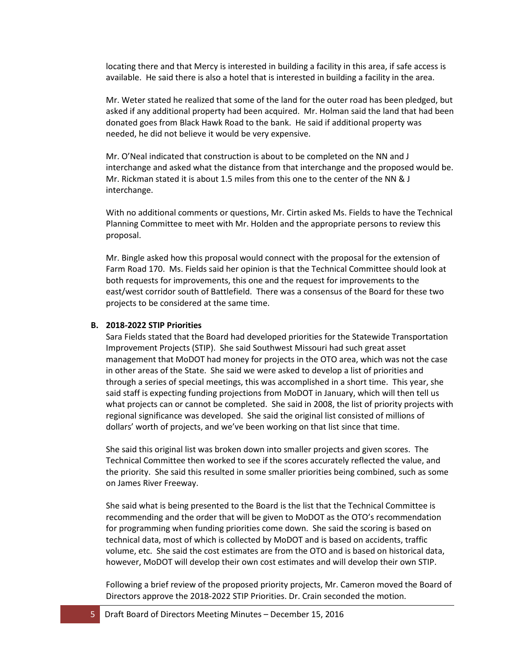locating there and that Mercy is interested in building a facility in this area, if safe access is available. He said there is also a hotel that is interested in building a facility in the area.

Mr. Weter stated he realized that some of the land for the outer road has been pledged, but asked if any additional property had been acquired. Mr. Holman said the land that had been donated goes from Black Hawk Road to the bank. He said if additional property was needed, he did not believe it would be very expensive.

Mr. O'Neal indicated that construction is about to be completed on the NN and J interchange and asked what the distance from that interchange and the proposed would be. Mr. Rickman stated it is about 1.5 miles from this one to the center of the NN & J interchange.

With no additional comments or questions, Mr. Cirtin asked Ms. Fields to have the Technical Planning Committee to meet with Mr. Holden and the appropriate persons to review this proposal.

Mr. Bingle asked how this proposal would connect with the proposal for the extension of Farm Road 170. Ms. Fields said her opinion is that the Technical Committee should look at both requests for improvements, this one and the request for improvements to the east/west corridor south of Battlefield. There was a consensus of the Board for these two projects to be considered at the same time.

## **B. 2018-2022 STIP Priorities**

Sara Fields stated that the Board had developed priorities for the Statewide Transportation Improvement Projects (STIP). She said Southwest Missouri had such great asset management that MoDOT had money for projects in the OTO area, which was not the case in other areas of the State. She said we were asked to develop a list of priorities and through a series of special meetings, this was accomplished in a short time. This year, she said staff is expecting funding projections from MoDOT in January, which will then tell us what projects can or cannot be completed. She said in 2008, the list of priority projects with regional significance was developed. She said the original list consisted of millions of dollars' worth of projects, and we've been working on that list since that time.

She said this original list was broken down into smaller projects and given scores. The Technical Committee then worked to see if the scores accurately reflected the value, and the priority. She said this resulted in some smaller priorities being combined, such as some on James River Freeway.

She said what is being presented to the Board is the list that the Technical Committee is recommending and the order that will be given to MoDOT as the OTO's recommendation for programming when funding priorities come down. She said the scoring is based on technical data, most of which is collected by MoDOT and is based on accidents, traffic volume, etc. She said the cost estimates are from the OTO and is based on historical data, however, MoDOT will develop their own cost estimates and will develop their own STIP.

Following a brief review of the proposed priority projects, Mr. Cameron moved the Board of Directors approve the 2018-2022 STIP Priorities. Dr. Crain seconded the motion.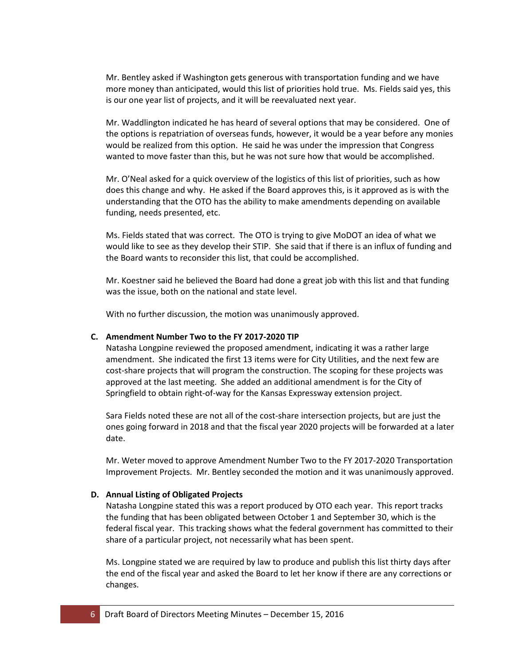Mr. Bentley asked if Washington gets generous with transportation funding and we have more money than anticipated, would this list of priorities hold true. Ms. Fields said yes, this is our one year list of projects, and it will be reevaluated next year.

Mr. Waddlington indicated he has heard of several options that may be considered. One of the options is repatriation of overseas funds, however, it would be a year before any monies would be realized from this option. He said he was under the impression that Congress wanted to move faster than this, but he was not sure how that would be accomplished.

Mr. O'Neal asked for a quick overview of the logistics of this list of priorities, such as how does this change and why. He asked if the Board approves this, is it approved as is with the understanding that the OTO has the ability to make amendments depending on available funding, needs presented, etc.

Ms. Fields stated that was correct. The OTO is trying to give MoDOT an idea of what we would like to see as they develop their STIP. She said that if there is an influx of funding and the Board wants to reconsider this list, that could be accomplished.

Mr. Koestner said he believed the Board had done a great job with this list and that funding was the issue, both on the national and state level.

With no further discussion, the motion was unanimously approved.

## **C. Amendment Number Two to the FY 2017-2020 TIP**

Natasha Longpine reviewed the proposed amendment, indicating it was a rather large amendment. She indicated the first 13 items were for City Utilities, and the next few are cost-share projects that will program the construction. The scoping for these projects was approved at the last meeting. She added an additional amendment is for the City of Springfield to obtain right-of-way for the Kansas Expressway extension project.

Sara Fields noted these are not all of the cost-share intersection projects, but are just the ones going forward in 2018 and that the fiscal year 2020 projects will be forwarded at a later date.

Mr. Weter moved to approve Amendment Number Two to the FY 2017-2020 Transportation Improvement Projects. Mr. Bentley seconded the motion and it was unanimously approved.

#### **D. Annual Listing of Obligated Projects**

Natasha Longpine stated this was a report produced by OTO each year. This report tracks the funding that has been obligated between October 1 and September 30, which is the federal fiscal year. This tracking shows what the federal government has committed to their share of a particular project, not necessarily what has been spent.

Ms. Longpine stated we are required by law to produce and publish this list thirty days after the end of the fiscal year and asked the Board to let her know if there are any corrections or changes.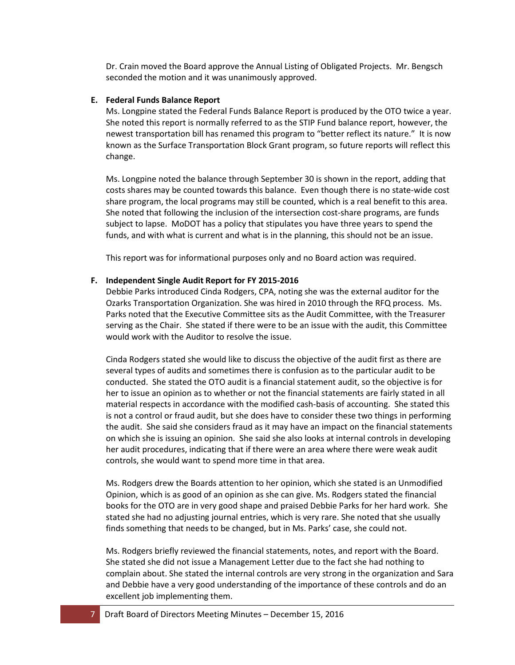Dr. Crain moved the Board approve the Annual Listing of Obligated Projects. Mr. Bengsch seconded the motion and it was unanimously approved.

#### **E. Federal Funds Balance Report**

Ms. Longpine stated the Federal Funds Balance Report is produced by the OTO twice a year. She noted this report is normally referred to as the STIP Fund balance report, however, the newest transportation bill has renamed this program to "better reflect its nature." It is now known as the Surface Transportation Block Grant program, so future reports will reflect this change.

Ms. Longpine noted the balance through September 30 is shown in the report, adding that costs shares may be counted towards this balance. Even though there is no state-wide cost share program, the local programs may still be counted, which is a real benefit to this area. She noted that following the inclusion of the intersection cost-share programs, are funds subject to lapse. MoDOT has a policy that stipulates you have three years to spend the funds, and with what is current and what is in the planning, this should not be an issue.

This report was for informational purposes only and no Board action was required.

#### **F. Independent Single Audit Report for FY 2015-2016**

Debbie Parks introduced Cinda Rodgers, CPA, noting she was the external auditor for the Ozarks Transportation Organization. She was hired in 2010 through the RFQ process. Ms. Parks noted that the Executive Committee sits as the Audit Committee, with the Treasurer serving as the Chair. She stated if there were to be an issue with the audit, this Committee would work with the Auditor to resolve the issue.

Cinda Rodgers stated she would like to discuss the objective of the audit first as there are several types of audits and sometimes there is confusion as to the particular audit to be conducted. She stated the OTO audit is a financial statement audit, so the objective is for her to issue an opinion as to whether or not the financial statements are fairly stated in all material respects in accordance with the modified cash-basis of accounting. She stated this is not a control or fraud audit, but she does have to consider these two things in performing the audit. She said she considers fraud as it may have an impact on the financial statements on which she is issuing an opinion. She said she also looks at internal controls in developing her audit procedures, indicating that if there were an area where there were weak audit controls, she would want to spend more time in that area.

Ms. Rodgers drew the Boards attention to her opinion, which she stated is an Unmodified Opinion, which is as good of an opinion as she can give. Ms. Rodgers stated the financial books for the OTO are in very good shape and praised Debbie Parks for her hard work. She stated she had no adjusting journal entries, which is very rare. She noted that she usually finds something that needs to be changed, but in Ms. Parks' case, she could not.

Ms. Rodgers briefly reviewed the financial statements, notes, and report with the Board. She stated she did not issue a Management Letter due to the fact she had nothing to complain about. She stated the internal controls are very strong in the organization and Sara and Debbie have a very good understanding of the importance of these controls and do an excellent job implementing them.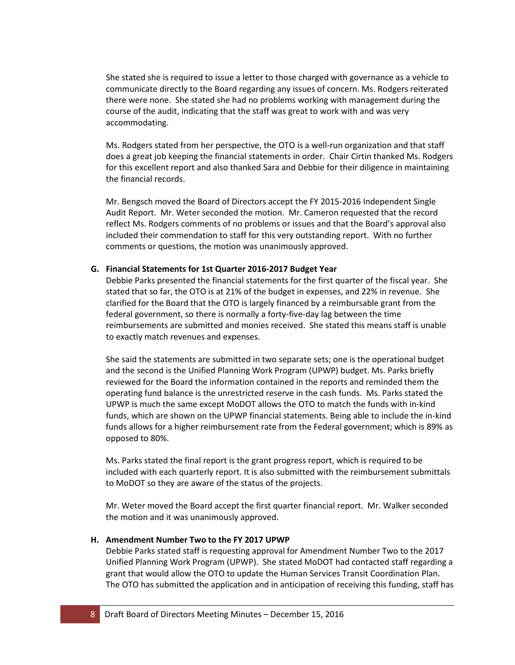She stated she is required to issue a letter to those charged with governance as a vehicle to communicate directly to the Board regarding any issues of concern. Ms. Rodgers reiterated there were none. She stated she had no problems working with management during the course of the audit, indicating that the staff was great to work with and was very accommodating.

Ms. Rodgers stated from her perspective, the OTO is a well-run organization and that staff does a great job keeping the financial statements in order. Chair Cirtin thanked Ms. Rodgers for this excellent report and also thanked Sara and Debbie for their diligence in maintaining the financial records.

Mr. Bengsch moved the Board of Directors accept the FY 2015-2016 Independent Single Audit Report. Mr. Weter seconded the motion. Mr. Cameron requested that the record reflect Ms. Rodgers comments of no problems or issues and that the Board's approval also included their commendation to staff for this very outstanding report. With no further comments or questions, the motion was unanimously approved.

## **G. Financial Statements for 1st Quarter 2016-2017 Budget Year**

Debbie Parks presented the financial statements for the first quarter of the fiscal year. She stated that so far, the OTO is at 21% of the budget in expenses, and 22% in revenue. She clarified for the Board that the OTO is largely financed by a reimbursable grant from the federal government, so there is normally a forty-five-day lag between the time reimbursements are submitted and monies received. She stated this means staff is unable to exactly match revenues and expenses.

She said the statements are submitted in two separate sets; one is the operational budget and the second is the Unified Planning Work Program (UPWP) budget. Ms. Parks briefly reviewed for the Board the information contained in the reports and reminded them the operating fund balance is the unrestricted reserve in the cash funds. Ms. Parks stated the UPWP is much the same except MoDOT allows the OTO to match the funds with in-kind funds, which are shown on the UPWP financial statements. Being able to include the in-kind funds allows for a higher reimbursement rate from the Federal government; which is 89% as opposed to 80%.

Ms. Parks stated the final report is the grant progress report, which is required to be included with each quarterly report. It is also submitted with the reimbursement submittals to MoDOT so they are aware of the status of the projects.

Mr. Weter moved the Board accept the first quarter financial report. Mr. Walker seconded the motion and it was unanimously approved.

## **H. Amendment Number Two to the FY 2017 UPWP**

Debbie Parks stated staff is requesting approval for Amendment Number Two to the 2017 Unified Planning Work Program (UPWP). She stated MoDOT had contacted staff regarding a grant that would allow the OTO to update the Human Services Transit Coordination Plan. The OTO has submitted the application and in anticipation of receiving this funding, staff has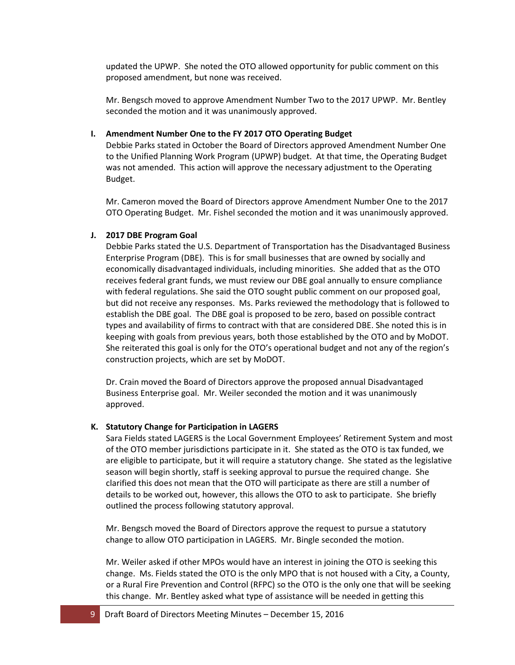updated the UPWP. She noted the OTO allowed opportunity for public comment on this proposed amendment, but none was received.

Mr. Bengsch moved to approve Amendment Number Two to the 2017 UPWP. Mr. Bentley seconded the motion and it was unanimously approved.

### **I. Amendment Number One to the FY 2017 OTO Operating Budget**

Debbie Parks stated in October the Board of Directors approved Amendment Number One to the Unified Planning Work Program (UPWP) budget. At that time, the Operating Budget was not amended. This action will approve the necessary adjustment to the Operating Budget.

Mr. Cameron moved the Board of Directors approve Amendment Number One to the 2017 OTO Operating Budget. Mr. Fishel seconded the motion and it was unanimously approved.

## **J. 2017 DBE Program Goal**

Debbie Parks stated the U.S. Department of Transportation has the Disadvantaged Business Enterprise Program (DBE). This is for small businesses that are owned by socially and economically disadvantaged individuals, including minorities. She added that as the OTO receives federal grant funds, we must review our DBE goal annually to ensure compliance with federal regulations. She said the OTO sought public comment on our proposed goal, but did not receive any responses. Ms. Parks reviewed the methodology that is followed to establish the DBE goal. The DBE goal is proposed to be zero, based on possible contract types and availability of firms to contract with that are considered DBE. She noted this is in keeping with goals from previous years, both those established by the OTO and by MoDOT. She reiterated this goal is only for the OTO's operational budget and not any of the region's construction projects, which are set by MoDOT.

Dr. Crain moved the Board of Directors approve the proposed annual Disadvantaged Business Enterprise goal. Mr. Weiler seconded the motion and it was unanimously approved.

## **K. Statutory Change for Participation in LAGERS**

Sara Fields stated LAGERS is the Local Government Employees' Retirement System and most of the OTO member jurisdictions participate in it. She stated as the OTO is tax funded, we are eligible to participate, but it will require a statutory change. She stated as the legislative season will begin shortly, staff is seeking approval to pursue the required change. She clarified this does not mean that the OTO will participate as there are still a number of details to be worked out, however, this allows the OTO to ask to participate. She briefly outlined the process following statutory approval.

Mr. Bengsch moved the Board of Directors approve the request to pursue a statutory change to allow OTO participation in LAGERS. Mr. Bingle seconded the motion.

Mr. Weiler asked if other MPOs would have an interest in joining the OTO is seeking this change. Ms. Fields stated the OTO is the only MPO that is not housed with a City, a County, or a Rural Fire Prevention and Control (RFPC) so the OTO is the only one that will be seeking this change. Mr. Bentley asked what type of assistance will be needed in getting this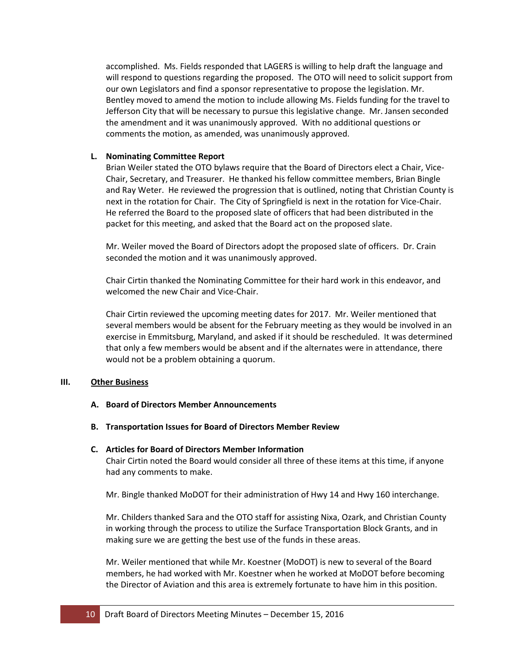accomplished. Ms. Fields responded that LAGERS is willing to help draft the language and will respond to questions regarding the proposed. The OTO will need to solicit support from our own Legislators and find a sponsor representative to propose the legislation. Mr. Bentley moved to amend the motion to include allowing Ms. Fields funding for the travel to Jefferson City that will be necessary to pursue this legislative change. Mr. Jansen seconded the amendment and it was unanimously approved. With no additional questions or comments the motion, as amended, was unanimously approved.

## **L. Nominating Committee Report**

Brian Weiler stated the OTO bylaws require that the Board of Directors elect a Chair, Vice-Chair, Secretary, and Treasurer. He thanked his fellow committee members, Brian Bingle and Ray Weter. He reviewed the progression that is outlined, noting that Christian County is next in the rotation for Chair. The City of Springfield is next in the rotation for Vice-Chair. He referred the Board to the proposed slate of officers that had been distributed in the packet for this meeting, and asked that the Board act on the proposed slate.

Mr. Weiler moved the Board of Directors adopt the proposed slate of officers. Dr. Crain seconded the motion and it was unanimously approved.

Chair Cirtin thanked the Nominating Committee for their hard work in this endeavor, and welcomed the new Chair and Vice-Chair.

Chair Cirtin reviewed the upcoming meeting dates for 2017. Mr. Weiler mentioned that several members would be absent for the February meeting as they would be involved in an exercise in Emmitsburg, Maryland, and asked if it should be rescheduled. It was determined that only a few members would be absent and if the alternates were in attendance, there would not be a problem obtaining a quorum.

## **III. Other Business**

- **A. Board of Directors Member Announcements**
- **B. Transportation Issues for Board of Directors Member Review**

# **C. Articles for Board of Directors Member Information** Chair Cirtin noted the Board would consider all three of these items at this time, if anyone had any comments to make.

Mr. Bingle thanked MoDOT for their administration of Hwy 14 and Hwy 160 interchange.

Mr. Childers thanked Sara and the OTO staff for assisting Nixa, Ozark, and Christian County in working through the process to utilize the Surface Transportation Block Grants, and in making sure we are getting the best use of the funds in these areas.

Mr. Weiler mentioned that while Mr. Koestner (MoDOT) is new to several of the Board members, he had worked with Mr. Koestner when he worked at MoDOT before becoming the Director of Aviation and this area is extremely fortunate to have him in this position.